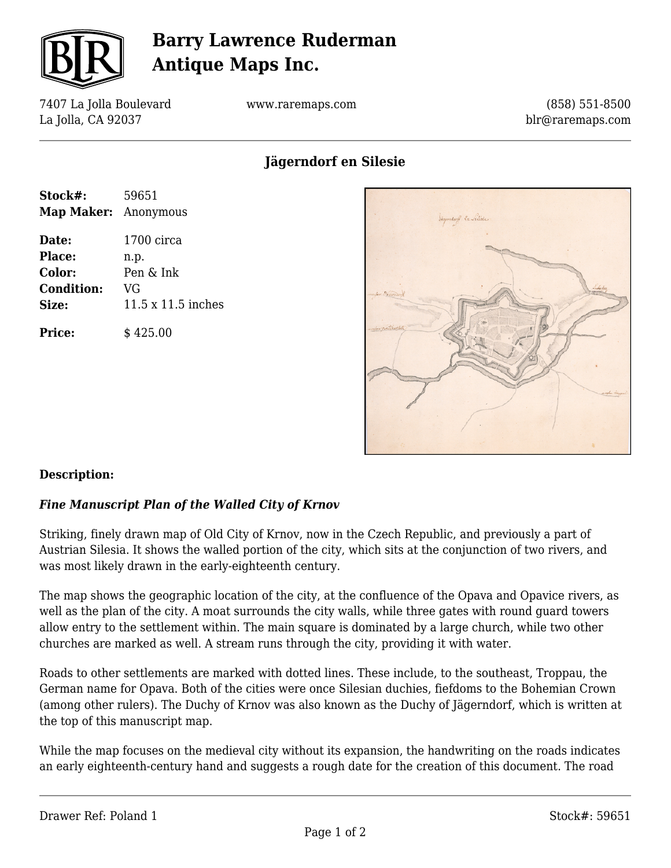

# **Barry Lawrence Ruderman Antique Maps Inc.**

7407 La Jolla Boulevard La Jolla, CA 92037

www.raremaps.com

(858) 551-8500 blr@raremaps.com

## **Jägerndorf en Silesie**

| Stock#:              | 59651                     |
|----------------------|---------------------------|
| Map Maker: Anonymous |                           |
| Date:                | 1700 circa                |
| Place:               | n.p.                      |
| Color:               | Pen & Ink                 |
| <b>Condition:</b>    | VG                        |
| Size:                | $11.5 \times 11.5$ inches |
| <b>Price:</b>        | \$425.00                  |



### **Description:**

### *Fine Manuscript Plan of the Walled City of Krnov*

Striking, finely drawn map of Old City of Krnov, now in the Czech Republic, and previously a part of Austrian Silesia. It shows the walled portion of the city, which sits at the conjunction of two rivers, and was most likely drawn in the early-eighteenth century.

The map shows the geographic location of the city, at the confluence of the Opava and Opavice rivers, as well as the plan of the city. A moat surrounds the city walls, while three gates with round guard towers allow entry to the settlement within. The main square is dominated by a large church, while two other churches are marked as well. A stream runs through the city, providing it with water.

Roads to other settlements are marked with dotted lines. These include, to the southeast, Troppau, the German name for Opava. Both of the cities were once Silesian duchies, fiefdoms to the Bohemian Crown (among other rulers). The Duchy of Krnov was also known as the Duchy of Jägerndorf, which is written at the top of this manuscript map.

While the map focuses on the medieval city without its expansion, the handwriting on the roads indicates an early eighteenth-century hand and suggests a rough date for the creation of this document. The road